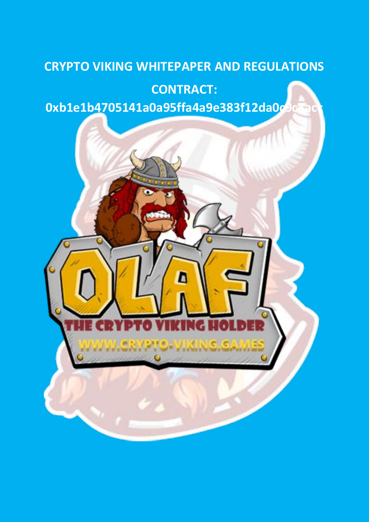# **CRYPTO VIKING WHITEPAPER AND REGULATIONS**

## **CONTRACT:**

**0xb1e1b4705141a0a95ffa4a9e383f12da0c9c8acc**

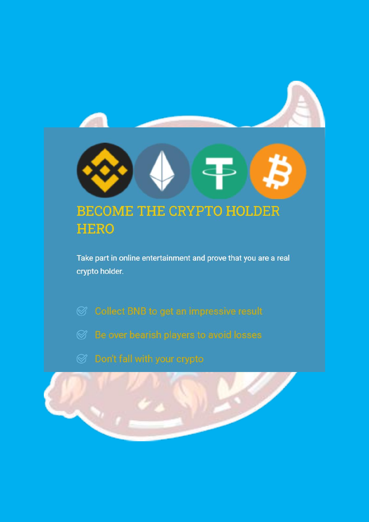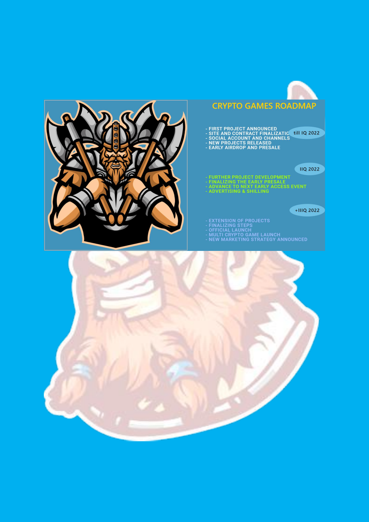

## **CRYPTO GAMES ROADMAP**

- FIRST PROJECT ANNOUNCED<br>- SITE AND CONTRACT FINALIZATIC ( till IQ 2022<br>- SOCIAL ACCOUNT AND CHANNELS<br>- NEW PROJECTS RELEASED<br>- EARLY AIRDROP AND PRESALE
	-
- 

### **IIQ 2022**

- FURTHER PROJECT DEVELOPMENT<br>- FINALIZING THE EARLY PRESALE<br>- ADVANCE TO NEXT EARLY ACCESS EVENT<br>- ADVERTISING & SHILLING
- 
- 
- 

### $+IIIQ$  2022

- 
- 
- 
- **EXTENSION OF PROJECTS<br>FINALIZING STEPS<br>OFFICIAL LAUNCH<br>MULTI CRYPTO GAME LAUNCH<br>NEW MARKETING STRATEGY ANNOUNCED**

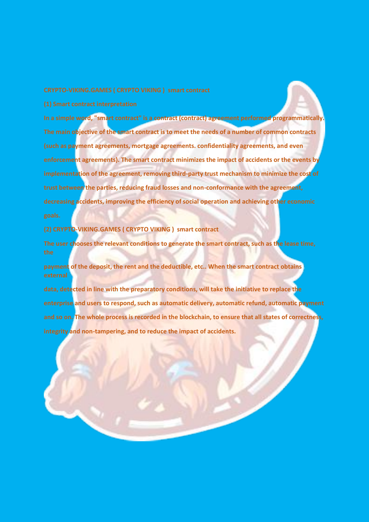**In a simple word, "smart contract" is a contract (contract) agreement performed programmatically. The main objective of the smart contract is to meet the needs of a number of common contracts (such as payment agreements, mortgage agreements. confidentiality agreements, and even enforcement agreements). The smart contract minimizes the impact of accidents or the events by implementation of the agreement, removing third-party trust mechanism to minimize the cost of trust between the parties, reducing fraud losses and non-conformance with the agreement, decreasing accidents, improving the efficiency of social operation and achieving other economic**

### **(2) CRYPTO-VIKING.GAMES ( CRYPTO VIKING ) smart contract**

**The user chooses the relevant conditions to generate the smart contract, such as the lease time,** 

**payment of the deposit, the rent and the deductible, etc.. When the smart contract obtains** 

**data, detected in line with the preparatory conditions, will take the initiative to replace the enterprise and users to respond, such as automatic delivery, automatic refund, automatic payment and so on. The whole process is recorded in the blockchain, to ensure that all states of correctness, integrity and non-tampering, and to reduce the impact of accidents.**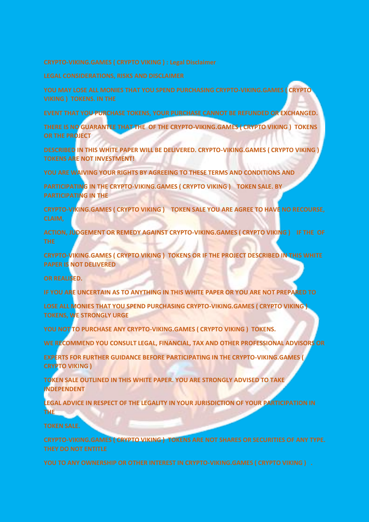**YOU MAY LOSE ALL MONIES THAT YOU SPEND PURCHASING CRYPTO-VIKING.GAMES ( CRYPTO** 

**EVENT THAT YOU PURCHASE TOKENS, YOUR PURCHASE CANNOT BE REFUNDED OR EXCHANGED.**

**THERE IS NO GUARANTEE THAT THE OF THE CRYPTO-VIKING.GAMES ( CRYPTO VIKING ) TOKENS OR THE PROJECT**

**DESCRIBED IN THIS WHITE PAPER WILL BE DELIVERED. CRYPTO-VIKING.GAMES ( CRYPTO VIKING ) TOKENS ARE NOT INVESTMENT!**

**YOU ARE WAIVING YOUR RIGHTS BY AGREEING TO THESE TERMS AND CONDITIONS AND**

**PARTICIPATING IN THE CRYPTO-VIKING.GAMES ( CRYPTO VIKING ) TOKEN SALE. BY PARTICIPATING IN THE**

**CRYPTO-VIKING.GAMES ( CRYPTO VIKING ) TOKEN SALE YOU ARE AGREE TO HAVE NO RECOURSE,** 

**ACTION, JUDGEMENT OR REMEDY AGAINST CRYPTO-VIKING.GAMES ( CRYPTO VIKING ) IF THE OF** 

**CRYPTO-VIKING.GAMES ( CRYPTO VIKING ) TOKENS OR IF THE PROJECT DESCRIBED IN THIS WHITE PAPER IS NOT DELIVERED**

**OR REALISED.**

**IF YOU ARE UNCERTAIN AS TO ANYTHING IN THIS WHITE PAPER OR YOU ARE NOT PREPARED TO**

**LOSE ALL MONIES THAT YOU SPEND PURCHASING CRYPTO-VIKING.GAMES ( CRYPTO VIKING ) TOKENS, WE STRONGLY URGE**

**YOU NOT TO PURCHASE ANY CRYPTO-VIKING.GAMES ( CRYPTO VIKING ) TOKENS.** 

**WE RECOMMEND YOU CONSULT LEGAL, FINANCIAL, TAX AND OTHER PROFESSIONAL ADVISORS OR**

**EXPERTS FOR FURTHER GUIDANCE BEFORE PARTICIPATING IN THE CRYPTO-VIKING.GAMES ( CRYPTO VIKING )** 

**TOKEN SALE OUTLINED IN THIS WHITE PAPER. YOU ARE STRONGLY ADVISED TO TAKE INDEPENDENT**

**LEGAL ADVICE IN RESPECT OF THE LEGALITY IN YOUR JURISDICTION OF YOUR PARTICIPATION IN THE**

**CRYPTO-VIKING.GAMES ( CRYPTO VIKING ) TOKENS ARE NOT SHARES OR SECURITIES OF ANY TYPE.**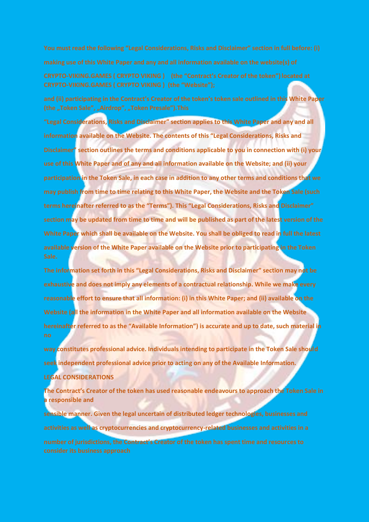**and (ii) participating in the Contract's Creator of the token's token sale outlined in this White Paper** 

**"Legal Considerations, Risks and Disclaimer" section applies to this White Paper and any and all information available on the Website. The contents of this "Legal Considerations, Risks and Disclaimer" section outlines the terms and conditions applicable to you in connection with (i) your use of this White Paper and of any and all information available on the Website; and (ii) your participation in the Token Sale, in each case in addition to any other terms and conditions that we may publish from time to time relating to this White Paper, the Website and the Token Sale (such terms hereinafter referred to as the "Terms"). This "Legal Considerations, Risks and Disclaimer" section may be updated from time to time and will be published as part of the latest version of the White Paper which shall be available on the Website. You shall be obliged to read in full the latest available version of the White Paper available on the Website prior to participating in the Token** 

**The information set forth in this "Legal Considerations, Risks and Disclaimer" section may not be exhaustive and does not imply any elements of a contractual relationship. While we make every reasonable effort to ensure that all information: (i) in this White Paper; and (ii) available on the Website (all the information in the White Paper and all information available on the Website hereinafter referred to as the "Available Information") is accurate and up to date, such material in** 

**way constitutes professional advice. Individuals intending to participate in the Token Sale should seek independent professional advice prior to acting on any of the Available Information. LEGAL CONSIDERATIONS**

**The Contract's Creator of the token has used reasonable endeavours to approach the Token Sale in a responsible and**

**sensible manner. Given the legal uncertain of distributed ledger technologies, businesses and activities as well as cryptocurrencies and cryptocurrency-related businesses and activities in a number of jurisdictions, the Contract's Creator of the token has spent time and resources to**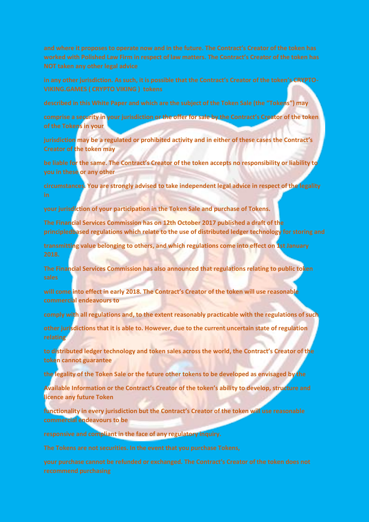**in any other jurisdiction. As such, it is possible that the Contract's Creator of the token's CRYPTO-**

**described in this White Paper and which are the subject of the Token Sale (the "Tokens") may**

**comprise a security in your jurisdiction or the offer for sale by the Contract's Creator of the token of the Tokens in your**

**jurisdiction may be a regulated or prohibited activity and in either of these cases the Contract's Creator of the token may**

**be liable for the same. The Contract's Creator of the token accepts no responsibility or liability to you in these or any other**

**circumstances. You are strongly advised to take independent legal advice in respect of the legality** 

**your jurisdiction of your participation in the Token Sale and purchase of Tokens.**

**The Financial Services Commission has on 12th October 2017 published a draft of the principledbased regulations which relate to the use of distributed ledger technology for storing and**

**transmitting value belonging to others, and which regulations come into effect on 1st January** 

**The Financial Services Commission has also announced that regulations relating to public token** 

**will come into effect in early 2018. The Contract's Creator of the token will use reasonable commercial endeavours to**

**comply with all regulations and, to the extent reasonably practicable with the regulations of such**

**other jurisdictions that it is able to. However, due to the current uncertain state of regulation relating**

**to distributed ledger technology and token sales across the world, the Contract's Creator of the token cannot guarantee**

**the legality of the Token Sale or the future other tokens to be developed as envisaged by the**

**Available Information or the Contract's Creator of the token's ability to develop, structure and licence any future Token**

**functionality in every jurisdiction but the Contract's Creator of the token will use reasonable commercial endeavours to be**

**responsive and compliant in the face of any regulatory inquiry.**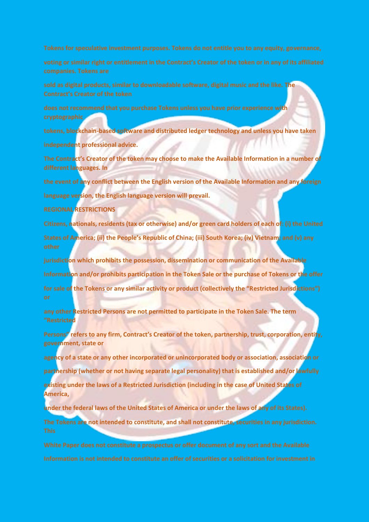**sold as digital products, similar to downloadable software, digital music and the like. The** 

**does not recommend that you purchase Tokens unless you have prior experience with** 

**tokens, blockchain-based software and distributed ledger technology and unless you have taken**

**independent professional advice.**

**The Contract's Creator of the token may choose to make the Available Information in a number of different languages. In**

**the event of any conflict between the English version of the Available Information and any foreign**

**language version, the English language version will prevail.**

**REGIONAL RESTRICTIONS**

**Citizens, nationals, residents (tax or otherwise) and/or green card holders of each of: (i) the United**

**States of America; (ii) the People's Republic of China; (iii) South Korea; (iv) Vietnam; and (v) any** 

**jurisdiction which prohibits the possession, dissemination or communication of the Available**

**Information and/or prohibits participation in the Token Sale or the purchase of Tokens or the offer**

**for sale of the Tokens or any similar activity or product (collectively the "Restricted Jurisdictions")** 

**any other Restricted Persons are not permitted to participate in the Token Sale. The term "Restricted**

**Persons" refers to any firm, Contract's Creator of the token, partnership, trust, corporation, entity, government, state or**

**agency of a state or any other incorporated or unincorporated body or association, association or**

**partnership (whether or not having separate legal personality) that is established and/or lawfully**

**existing under the laws of a Restricted Jurisdiction (including in the case of United States of America,**

**under the federal laws of the United States of America or under the laws of any of its States).**

**The Tokens are not intended to constitute, and shall not constitute, securities in any jurisdiction.**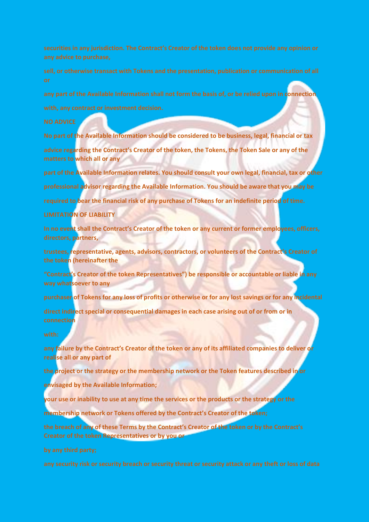**any part of the Available Information shall not form the basis of, or be relied upon in connection**

**No part of the Available Information should be considered to be business, legal, financial or tax advice regarding the Contract's Creator of the token, the Tokens, the Token Sale or any of the matters to which all or any**

**part of the Available Information relates. You should consult your own legal, financial, tax or other professional advisor regarding the Available Information. You should be aware that you may be required to bear the financial risk of any purchase of Tokens for an indefinite period of time.**

### **LIMITATION OF LIABILITY**

**In no event shall the Contract's Creator of the token or any current or former employees, officers, directors, partners,**

**trustees, representative, agents, advisors, contractors, or volunteers of the Contract's Creator of the token (hereinafter the**

**"Contract's Creator of the token Representatives") be responsible or accountable or liable in any way whatsoever to any**

**purchaser of Tokens for any loss of profits or otherwise or for any lost savings or for any incidental**

**direct indirect special or consequential damages in each case arising out of or from or in connection**

**any failure by the Contract's Creator of the token or any of its affiliated companies to deliver or realise all or any part of**

**the project or the strategy or the membership network or the Token features described in or**

**envisaged by the Available Information;**

**your use or inability to use at any time the services or the products or the strategy or the**

**membership network or Tokens offered by the Contract's Creator of the token;**

**the breach of any of these Terms by the Contract's Creator of the token or by the Contract's Creator of the token Representatives or by you or**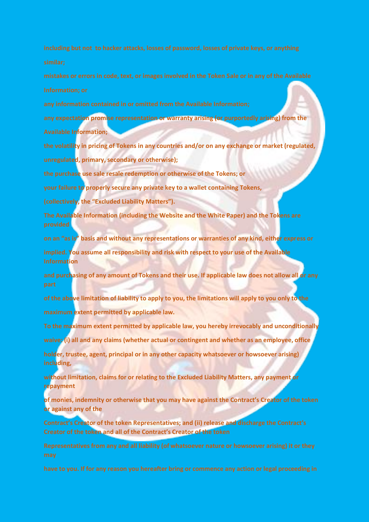**any expectation promise representation or warranty arising (or purportedly arising) from the Available Information;**

**the volatility in pricing of Tokens in any countries and/or on any exchange or market (regulated, unregulated, primary, secondary or otherwise);**

**the purchase use sale resale redemption or otherwise of the Tokens; or**

**your failure to properly secure any private key to a wallet containing Tokens,**

**(collectively, the "Excluded Liability Matters").**

**The Available Information (including the Website and the White Paper) and the Tokens are** 

**on an "as is" basis and without any representations or warranties of any kind, either express or**

**implied. You assume all responsibility and risk with respect to your use of the Available Information**

**and purchasing of any amount of Tokens and their use. If applicable law does not allow all or any** 

**of the above limitation of liability to apply to you, the limitations will apply to you only to the maximum extent permitted by applicable law.**

**To the maximum extent permitted by applicable law, you hereby irrevocably and unconditionally**

**waive: (i) all and any claims (whether actual or contingent and whether as an employee, office** 

**holder, trustee, agent, principal or in any other capacity whatsoever or howsoever arising) including,**

**without limitation, claims for or relating to the Excluded Liability Matters, any payment or repayment**

**of monies, indemnity or otherwise that you may have against the Contract's Creator of the token or against any of the**

**Contract's Creator of the token Representatives; and (ii) release and discharge the Contract's Creator of the token and all of the Contract's Creator of the token**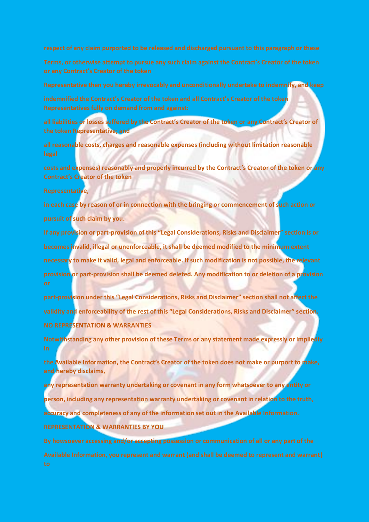**Representative then you hereby irrevocably and unconditionally undertake to indemnify, and keep**

**indemnified the Contract's Creator of the token and all Contract's Creator of the token** 

**all liabilities or losses suffered by the Contract's Creator of the token or any Contract's Creator of the token Representative; and**

**all reasonable costs, charges and reasonable expenses (including without limitation reasonable** 

**costs and expenses) reasonably and properly incurred by the Contract's Creator of the token or any Contract's Creator of the token**

**Representative,**

**in each case by reason of or in connection with the bringing or commencement of such action or pursuit of such claim by you.**

**If any provision or part-provision of this "Legal Considerations, Risks and Disclaimer" section is or becomes invalid, illegal or unenforceable, it shall be deemed modified to the minimum extent necessary to make it valid, legal and enforceable. If such modification is not possible, the relevant provision or part-provision shall be deemed deleted. Any modification to or deletion of a provision** 

**part-provision under this "Legal Considerations, Risks and Disclaimer" section shall not affect the validity and enforceability of the rest of this "Legal Considerations, Risks and Disclaimer" section. NO REPRESENTATION & WARRANTIES**

**Notwithstanding any other provision of these Terms or any statement made expressly or impliedly** 

**the Available Information, the Contract's Creator of the token does not make or purport to make, and hereby disclaims,**

**any representation warranty undertaking or covenant in any form whatsoever to any entity or person, including any representation warranty undertaking or covenant in relation to the truth, accuracy and completeness of any of the information set out in the Available Information. REPRESENTATION & WARRANTIES BY YOU**

**By howsoever accessing and/or accepting possession or communication of all or any part of the**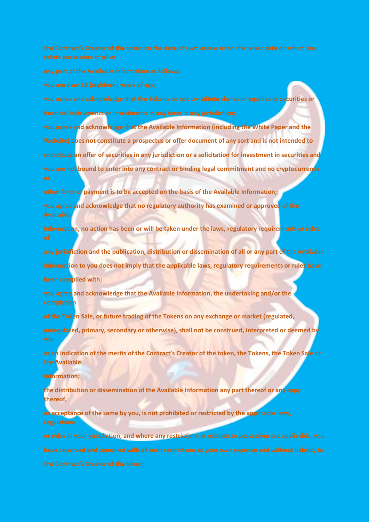**you agree and acknowledge that the Tokens do not constitute shares or equities or securities or financial instruments or investments in any form in any jurisdiction;**

**you agree and acknowledge that the Available Information (including the White Paper and the Website) does not constitute a prospectus or offer document of any sort and is not intended to constitute an offer of securities in any jurisdiction or a solicitation for investment in securities and you are not bound to enter into any contract or binding legal commitment and no cryptocurrency** 

**other form of payment is to be accepted on the basis of the Available Information;**

**you agree and acknowledge that no regulatory authority has examined or approved of the** 

**Information, no action has been or will be taken under the laws, regulatory requirements or rules** 

**any jurisdiction and the publication, distribution or dissemination of all or any part of the Available**

**Information to you does not imply that the applicable laws, regulatory requirements or rules have**

**been complied with;**

**you agree and acknowledge that the Available Information, the undertaking and/or the completion**

**of the Token Sale, or future trading of the Tokens on any exchange or market (regulated,**

**unregulated, primary, secondary or otherwise), shall not be construed, interpreted or deemed by** 

**as an indication of the merits of the Contract's Creator of the token, the Tokens, the Token Sale or the Available**

**Information;**

**the distribution or dissemination of the Available Information any part thereof or any copy thereof,**

**or acceptance of the same by you, is not prohibited or restricted by the applicable laws,** 

**or rules in your jurisdiction, and where any restrictions in relation to possession are applicable, you**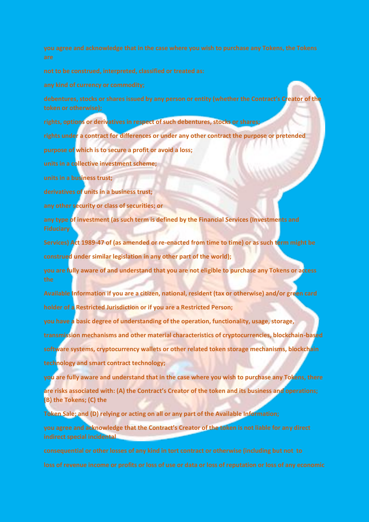**debentures, stocks or shares issued by any person or entity (whether the Contract's Creator of the** 

**rights, options or derivatives in respect of such debentures, stocks or shares;**

**rights under a contract for differences or under any other contract the purpose or pretended**

**purpose of which is to secure a profit or avoid a loss;**

**units in a collective investment scheme;**

**units in a business trust;**

**derivatives of units in a business trust;**

**any other security or class of securities; or**

**any type of investment (as such term is defined by the Financial Services (Investments and** 

**Services) Act 1989-47 of (as amended or re-enacted from time to time) or as such term might be construed under similar legislation in any other part of the world);**

**you are fully aware of and understand that you are not eligible to purchase any Tokens or access** 

**Available Information if you are a citizen, national, resident (tax or otherwise) and/or green card holder of a Restricted Jurisdiction or if you are a Restricted Person;**

**you have a basic degree of understanding of the operation, functionality, usage, storage,**

**transmission mechanisms and other material characteristics of cryptocurrencies, blockchain-based software systems, cryptocurrency wallets or other related token storage mechanisms, blockchain**

**technology and smart contract technology;**

**you are fully aware and understand that in the case where you wish to purchase any Tokens, there are risks associated with: (A) the Contract's Creator of the token and its business and operations; (B) the Tokens; (C) the**

**Token Sale; and (D) relying or acting on all or any part of the Available Information;**

**you agree and acknowledge that the Contract's Creator of the token is not liable for any direct indirect special incidental**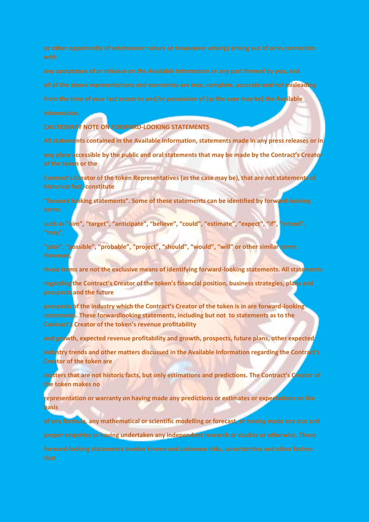**all of the above representations and warranties are true, complete, accurate and not misleading**

**from the time of your last access to and/or possession of (as the case may be) the Available**

**CAUTIONARY NOTE ON FORWARD-LOOKING STATEMENTS**

**All statements contained in the Available Information, statements made in any press releases or in**

**any place accessible by the public and oral statements that may be made by the Contract's Creator of the token or the**

**Contract's Creator of the token Representatives (as the case may be), that are not statements of historical fact, constitute**

**"forward looking statements". Some of these statements can be identified by forward-looking** 

**such as "aim", "target", "anticipate", "believe", "could", "estimate", "expect", "if", "intend",** 

**"plan", "possible", "probable", "project", "should", "would", "will" or other similar terms. However,**

**these terms are not the exclusive means of identifying forward-looking statements. All statements**

**regarding the Contract's Creator of the token's financial position, business strategies, plans and prospects and the future**

**prospects of the industry which the Contract's Creator of the token is in are forward-looking statements. These forwardlooking statements, including but not to statements as to the Contract's Creator of the token's revenue profitability**

**and growth, expected revenue profitability and growth, prospects, future plans, other expected**

**industry trends and other matters discussed in the Available Information regarding the Contract's Creator of the token are**

**matters that are not historic facts, but only estimations and predictions. The Contract's Creator of the token makes no**

**representation or warranty on having made any predictions or estimates or expectations on the basis**

**of any formula, any mathematical or scientific modelling or forecast, or having made any due and**

**proper enquiries or having undertaken any independent research or studies or otherwise. These**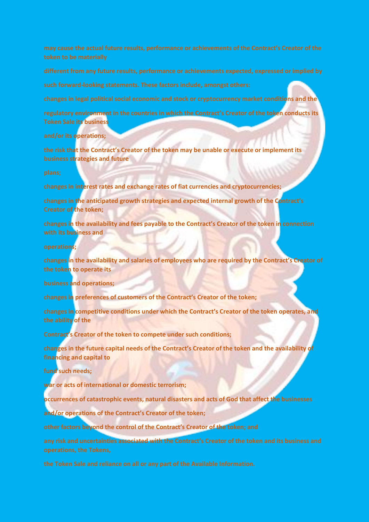**changes in legal political social economic and stock or cryptocurrency market conditions and the**

**regulatory environment in the countries in which the Contract's Creator of the token conducts its Token Sale its business**

**and/or its operations;**

**the risk that the Contract's Creator of the token may be unable or execute or implement its business strategies and future**

**changes in interest rates and exchange rates of fiat currencies and cryptocurrencies;**

**changes in the anticipated growth strategies and expected internal growth of the Contract's Creator of the token;**

**changes in the availability and fees payable to the Contract's Creator of the token in connection with its business and**

**operations;**

**changes in the availability and salaries of employees who are required by the Contract's Creator of the token to operate its**

**business and operations;**

**changes in preferences of customers of the Contract's Creator of the token;**

**changes in competitive conditions under which the Contract's Creator of the token operates, and the ability of the**

**Contract's Creator of the token to compete under such conditions;**

**changes in the future capital needs of the Contract's Creator of the token and the availability of financing and capital to**

**fund such needs;**

**war or acts of international or domestic terrorism;**

**occurrences of catastrophic events, natural disasters and acts of God that affect the businesses**

**and/or operations of the Contract's Creator of the token;**

**other factors beyond the control of the Contract's Creator of the token; and**

**any risk and uncertainties associated with the Contract's Creator of the token and its business and**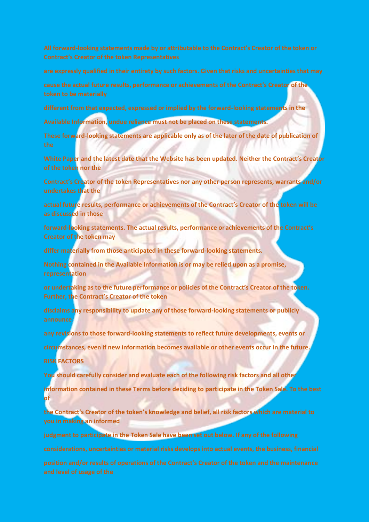**cause the actual future results, performance or achievements of the Contract's Creator of the** 

**different from that expected, expressed or implied by the forward-looking statements in the**

**Available Information, undue reliance must not be placed on these statements.**

**These forward-looking statements are applicable only as of the later of the date of publication of** 

**White Paper and the latest date that the Website has been updated. Neither the Contract's Creator of the token nor the**

**Contract's Creator of the token Representatives nor any other person represents, warrants and/or undertakes that the**

**actual future results, performance or achievements of the Contract's Creator of the token will be as discussed in those**

**forward-looking statements. The actual results, performance or achievements of the Contract's Creator of the token may**

**differ materially from those anticipated in these forward-looking statements.**

**Nothing contained in the Available Information is or may be relied upon as a promise, representation**

**or undertaking as to the future performance or policies of the Contract's Creator of the token. Further, the Contract's Creator of the token**

**disclaims any responsibility to update any of those forward-looking statements or publicly announce**

**any revisions to those forward-looking statements to reflect future developments, events or**

**circumstances, even if new information becomes available or other events occur in the future.**

**RISK FACTORS**

**You should carefully consider and evaluate each of the following risk factors and all other**

**information contained in these Terms before deciding to participate in the Token Sale. To the best of**

**the Contract's Creator of the token's knowledge and belief, all risk factors which are material to you in making an informed**

**judgment to participate in the Token Sale have been set out below. If any of the following**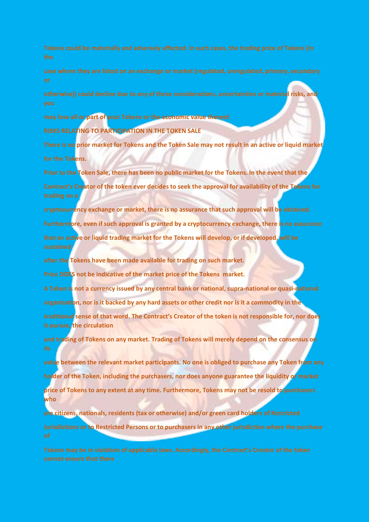**otherwise)) could decline due to any of these considerations, uncertainties or material risks, and** 

**may lose all or part of your Tokens or the economic value thereof.**

**RISKS RELATING TO PARTICIPATION IN THE TOKEN SALE**

**There is no prior market for Tokens and the Token Sale may not result in an active or liquid market for the Tokens.**

**Prior to the Token Sale, there has been no public market for the Tokens. In the event that the Contract's Creator of the token ever decides to seek the approval for availability of the Tokens for** 

**cryptocurrency exchange or market, there is no assurance that such approval will be obtained. Furthermore, even if such approval is granted by a cryptocurrency exchange, there is no assurance that an active or liquid trading market for the Tokens will develop, or if developed, will be sustained**

**after the Tokens have been made available for trading on such market.**

**Price DOES not be indicative of the market price of the Tokens market.**

**A Token is not a currency issued by any central bank or national, supra-national or quasi-national organisation, nor is it backed by any hard assets or other credit nor is it a commodity in the**

**traditional sense of that word. The Contract's Creator of the token is not responsible for, nor does** 

**it pursue, the circulation**

**and trading of Tokens on any market. Trading of Tokens will merely depend on the consensus on** 

**value between the relevant market participants. No one is obliged to purchase any Token from any holder of the Token, including the purchasers, nor does anyone guarantee the liquidity or market price of Tokens to any extent at any time. Furthermore, Tokens may not be resold to purchasers who**

**are citizens, nationals, residents (tax or otherwise) and/or green card holders of Restricted Jurisdictions or to Restricted Persons or to purchasers in any other jurisdiction where the purchase**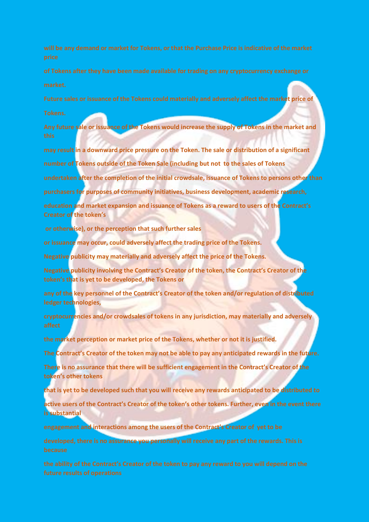**Future sales or issuance of the Tokens could materially and adversely affect the market price of**

**Any future sale or issuance of the Tokens would increase the supply of Tokens in the market and** 

**may result in a downward price pressure on the Token. The sale or distribution of a significant**

**number of Tokens outside of the Token Sale (including but not to the sales of Tokens**

**undertaken after the completion of the initial crowdsale, issuance of Tokens to persons other than**

**purchasers for purposes of community initiatives, business development, academic research,**

**education and market expansion and issuance of Tokens as a reward to users of the Contract's Creator of the token's**

**or otherwise), or the perception that such further sales**

**or issuance may occur, could adversely affect the trading price of the Tokens.**

**Negative publicity may materially and adversely affect the price of the Tokens.**

**Negative publicity involving the Contract's Creator of the token, the Contract's Creator of the token's that is yet to be developed, the Tokens or**

**any of the key personnel of the Contract's Creator of the token and/or regulation of distributed ledger technologies,**

**cryptocurrencies and/or crowdsales of tokens in any jurisdiction, may materially and adversely** 

**the market perception or market price of the Tokens, whether or not it is justified.**

**The Contract's Creator of the token may not be able to pay any anticipated rewards in the future.**

**There is no assurance that there will be sufficient engagement in the Contract's Creator of the token's other tokens**

**that is yet to be developed such that you will receive any rewards anticipated to be distributed to**

**active users of the Contract's Creator of the token's other tokens. Further, even in the event there is substantial**

**engagement and interactions among the users of the Contract's Creator of yet to be**

**developed, there is no assurance you personally will receive any part of the rewards. This is**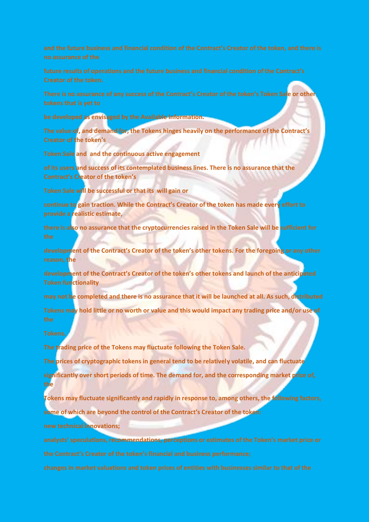**There is no assurance of any success of the Contract's Creator of the token's Token Sale or other** 

**be developed as envisaged by the Available Information.**

**The value of, and demand for, the Tokens hinges heavily on the performance of the Contract's Creator of the token's**

**Token Sale and and the continuous active engagement**

**of its users and success of its contemplated business lines. There is no assurance that the Contract's Creator of the token's**

**Token Sale will be successful or that its will gain or**

**continue to gain traction. While the Contract's Creator of the token has made every effort to provide a realistic estimate,**

**there is also no assurance that the cryptocurrencies raised in the Token Sale will be sufficient for** 

**development of the Contract's Creator of the token's other tokens. For the foregoing or any other reason, the**

**development of the Contract's Creator of the token's other tokens and launch of the anticipated Token functionality**

**may not be completed and there is no assurance that it will be launched at all. As such, distributed**

**Tokens may hold little or no worth or value and this would impact any trading price and/or use of** 

**The trading price of the Tokens may fluctuate following the Token Sale.**

**The prices of cryptographic tokens in general tend to be relatively volatile, and can fluctuate**

**significantly over short periods of time. The demand for, and the corresponding market price of, the**

**Tokens may fluctuate significantly and rapidly in response to, among others, the following factors, some of which are beyond the control of the Contract's Creator of the token:**

**new technical innovations;**

**analysts' speculations, recommendations, perceptions or estimates of the Token's market price or**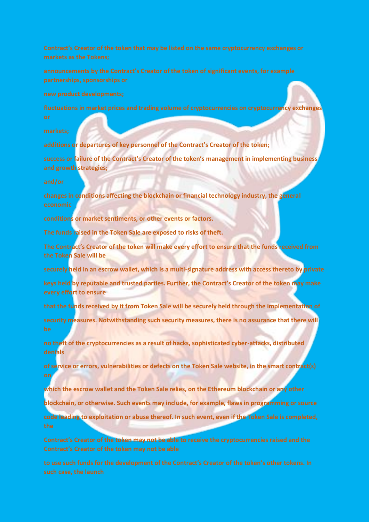**fluctuations in market prices and trading volume of cryptocurrencies on cryptocurrency exchanges** 

**additions or departures of key personnel of the Contract's Creator of the token;**

**success or failure of the Contract's Creator of the token's management in implementing business and growth strategies;**

**changes in conditions affecting the blockchain or financial technology industry, the general** 

**conditions or market sentiments, or other events or factors.**

**The funds raised in the Token Sale are exposed to risks of theft.**

**The Contract's Creator of the token will make every effort to ensure that the funds received from the Token Sale will be**

**securely held in an escrow wallet, which is a multi-signature address with access thereto by private**

**keys held by reputable and trusted parties. Further, the Contract's Creator of the token may make every effort to ensure**

**that the funds received by it from Token Sale will be securely held through the implementation of**

**security measures. Notwithstanding such security measures, there is no assurance that there will** 

**no theft of the cryptocurrencies as a result of hacks, sophisticated cyber-attacks, distributed denials**

**of service or errors, vulnerabilities or defects on the Token Sale website, in the smart contract(s) on**

**which the escrow wallet and the Token Sale relies, on the Ethereum blockchain or any other**

**blockchain, or otherwise. Such events may include, for example, flaws in programming or source**

**code leading to exploitation or abuse thereof. In such event, even if the Token Sale is completed,** 

**Contract's Creator of the token may not be able to receive the cryptocurrencies raised and the**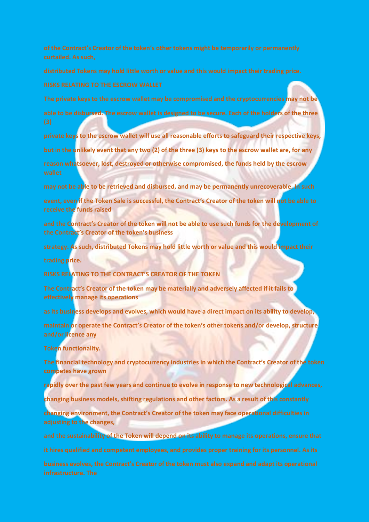**The private keys to the escrow wallet may be compromised and the cryptocurrencies may not be able to be disbursed. The escrow wallet is designed to be secure. Each of the holders of the three** 

**private keys to the escrow wallet will use all reasonable efforts to safeguard their respective keys, but in the unlikely event that any two (2) of the three (3) keys to the escrow wallet are, for any reason whatsoever, lost, destroyed or otherwise compromised, the funds held by the escrow** 

**may not be able to be retrieved and disbursed, and may be permanently unrecoverable. In such**

**event, even if the Token Sale is successful, the Contract's Creator of the token will not be able to receive the funds raised**

**and the Contract's Creator of the token will not be able to use such funds for the development of the Contract's Creator of the token's business**

**strategy. As such, distributed Tokens may hold little worth or value and this would impact their**

**trading price.**

**RISKS RELATING TO THE CONTRACT'S CREATOR OF THE TOKEN**

**The Contract's Creator of the token may be materially and adversely affected if it fails to effectively manage its operations**

**as its business develops and evolves, which would have a direct impact on its ability to develop,**

**maintain or operate the Contract's Creator of the token's other tokens and/or develop, structure and/or licence any**

**Token functionality.**

**The financial technology and cryptocurrency industries in which the Contract's Creator of the token competes have grown**

**rapidly over the past few years and continue to evolve in response to new technological advances,**

**changing business models, shifting regulations and other factors. As a result of this constantly**

**changing environment, the Contract's Creator of the token may face operational difficulties in adjusting to the changes,**

**and the sustainability of the Token will depend on its ability to manage its operations, ensure that**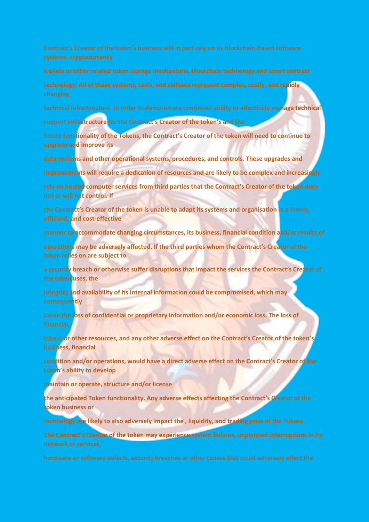**technology. All of these systems, tools, and skillsets represent complex, costly, and rapidly** 

**technical infrastructure. In order to demonstrate continued ability to effectively manage technical**

**support infrastructure for the Contract's Creator of the token's and the**

**future functionality of the Tokens, the Contract's Creator of the token will need to continue to upgrade and improve its**

**data systems and other operational systems, procedures, and controls. These upgrades and**

**improvements will require a dedication of resources and are likely to be complex and increasingly**

**rely on hosted computer services from third parties that the Contract's Creator of the token does not or will not control. If**

**the Contract's Creator of the token is unable to adapt its systems and organisation in a timely, efficient, and cost-effective**

**manner to accommodate changing circumstances, its business, financial condition and/or results of**

**operations may be adversely affected. If the third parties whom the Contract's Creator of the token relies on are subject to**

**a security breach or otherwise suffer disruptions that impact the services the Contract's Creator of the token uses, the**

**integrity and availability of its internal information could be compromised, which may consequently**

**cause the loss of confidential or proprietary information and/or economic loss. The loss of** 

**labour or other resources, and any other adverse effect on the Contract's Creator of the token's business, financial**

**condition and/or operations, would have a direct adverse effect on the Contract's Creator of the token's ability to develop**

**maintain or operate, structure and/or license**

**the anticipated Token functionality. Any adverse effects affecting the Contract's Creator of the token business or**

**technology are likely to also adversely impact the , liquidity, and trading price of the Tokens.**

**The Contract's Creator of the token may experience system failures, unplanned interruptions in its**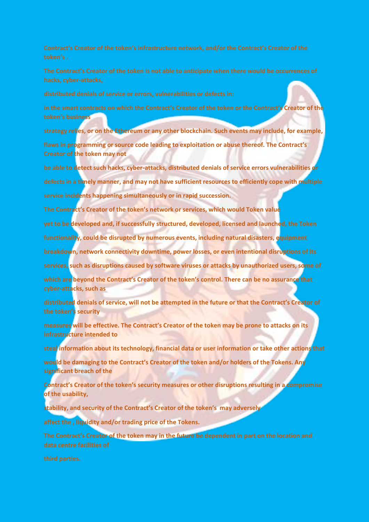**in the smart contracts on which the Contract's Creator of the token or the Contract's Creator of the token's business**

**strategy relies, or on the Ethereum or any other blockchain. Such events may include, for example,**

**flaws in programming or source code leading to exploitation or abuse thereof. The Contract's Creator of the token may not**

**be able to detect such hacks, cyber-attacks, distributed denials of service errors vulnerabilities or defects in a timely manner, and may not have sufficient resources to efficiently cope with multiple service incidents happening simultaneously or in rapid succession.**

**The Contract's Creator of the token's network or services, which would Token value**

**yet to be developed and, if successfully structured, developed, licensed and launched, the Token**

**functionality, could be disrupted by numerous events, including natural disasters, equipment**

**breakdown, network connectivity downtime, power losses, or even intentional disruptions of its**

**services, such as disruptions caused by software viruses or attacks by unauthorized users, some of**

**which are beyond the Contract's Creator of the token's control. There can be no assurance that cyber-attacks, such as**

**distributed denials of service, will not be attempted in the future or that the Contract's Creator of the token's security**

**measures will be effective. The Contract's Creator of the token may be prone to attacks on its infrastructure intended to**

**steal information about its technology, financial data or user information or take other actions that**

**would be damaging to the Contract's Creator of the token and/or holders of the Tokens. Any significant breach of the**

**Contract's Creator of the token's security measures or other disruptions resulting in a compromise of the usability,**

**stability, and security of the Contract's Creator of the token's may adversely**

**affect the , liquidity and/or trading price of the Tokens.**

**The Contract's Creator of the token may in the future be dependent in part on the location and**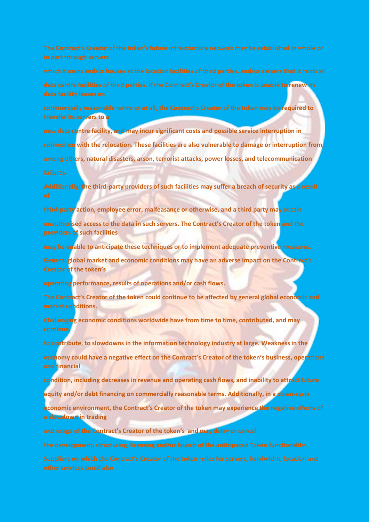**data centre facilities of third parties. If the Contract's Creator of the token is unable to renew its** 

**commercially reasonable terms or at all, the Contract's Creator of the token may be required to transfer its servers to a**

**new data centre facility, and may incur significant costs and possible service interruption in connection with the relocation. These facilities are also vulnerable to damage or interruption from, among others, natural disasters, arson, terrorist attacks, power losses, and telecommunication**

**Additionally, the third-party providers of such facilities may suffer a breach of security as a result** 

**third-party action, employee error, malfeasance or otherwise, and a third party may obtain unauthorised access to the data in such servers. The Contract's Creator of the token and the providers of such facilities**

**may be unable to anticipate these techniques or to implement adequate preventive measures.**

**General global market and economic conditions may have an adverse impact on the Contract's Creator of the token's**

**operating performance, results of operations and/or cash flows.**

**The Contract's Creator of the token could continue to be affected by general global economic and market conditions.**

**Challenging economic conditions worldwide have from time to time, contributed, and may** 

**to contribute, to slowdowns in the information technology industry at large. Weakness in the**

**economy could have a negative effect on the Contract's Creator of the token's business, operations and financial**

**condition, including decreases in revenue and operating cash flows, and inability to attract future**

**equity and/or debt financing on commercially reasonable terms. Additionally, in a down-cycle**

**economic environment, the Contract's Creator of the token may experience the negative effects of a slowdown in trading**

**and usage of the Contract's Creator of the token's and may delay or cancel**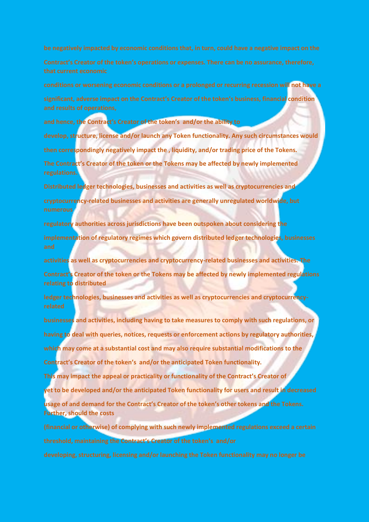**conditions or worsening economic conditions or a prolonged or recurring recession will not have a significant, adverse impact on the Contract's Creator of the token's business, financial condition** 

**and hence, the Contract's Creator of the token's and/or the ability to**

**develop, structure, license and/or launch any Token functionality. Any such circumstances would then correspondingly negatively impact the , liquidity, and/or trading price of the Tokens. The Contract's Creator of the token or the Tokens may be affected by newly implemented** 

**Distributed ledger technologies, businesses and activities as well as cryptocurrencies and cryptocurrency-related businesses and activities are generally unregulated worldwide, but numerous**

**regulatory authorities across jurisdictions have been outspoken about considering the implementation of regulatory regimes which govern distributed ledger technologies, businesses** 

**activities as well as cryptocurrencies and cryptocurrency-related businesses and activities. The Contract's Creator of the token or the Tokens may be affected by newly implemented regulations relating to distributed**

**ledger technologies, businesses and activities as well as cryptocurrencies and cryptocurrency-**

**businesses and activities, including having to take measures to comply with such regulations, or having to deal with queries, notices, requests or enforcement actions by regulatory authorities, which may come at a substantial cost and may also require substantial modifications to the Contract's Creator of the token's and/or the anticipated Token functionality.**

**This may impact the appeal or practicality or functionality of the Contract's Creator of** 

**yet to be developed and/or the anticipated Token functionality for users and result in decreased**

**usage of and demand for the Contract's Creator of the token's other tokens and the Tokens. Further, should the costs**

**(financial or otherwise) of complying with such newly implemented regulations exceed a certain threshold, maintaining the Contract's Creator of the token's and/or**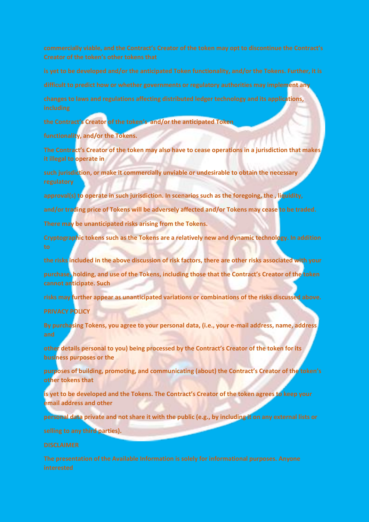**difficult to predict how or whether governments or regulatory authorities may implement any**

**changes to laws and regulations affecting distributed ledger technology and its applications,** 

**the Contract's Creator of the token's and/or the anticipated Token**

**functionality, and/or the Tokens.**

**The Contract's Creator of the token may also have to cease operations in a jurisdiction that makes it illegal to operate in**

**such jurisdiction, or make it commercially unviable or undesirable to obtain the necessary** 

**approval(s) to operate in such jurisdiction. In scenarios such as the foregoing, the , liquidity,**

**and/or trading price of Tokens will be adversely affected and/or Tokens may cease to be traded.**

**There may be unanticipated risks arising from the Tokens.**

**Cryptographic tokens such as the Tokens are a relatively new and dynamic technology. In addition** 

**the risks included in the above discussion of risk factors, there are other risks associated with your**

**purchase, holding, and use of the Tokens, including those that the Contract's Creator of the token cannot anticipate. Such**

**risks may further appear as unanticipated variations or combinations of the risks discussed above.**

### **PRIVACY POLICY**

**By purchasing Tokens, you agree to your personal data, (i.e., your e-mail address, name, address** 

**other details personal to you) being processed by the Contract's Creator of the token for its business purposes or the**

**purposes of building, promoting, and communicating (about) the Contract's Creator of the token's other tokens that**

**is yet to be developed and the Tokens. The Contract's Creator of the token agrees to keep your email address and other**

**personal data private and not share it with the public (e.g., by including it on any external lists or**

**selling to any third parties).**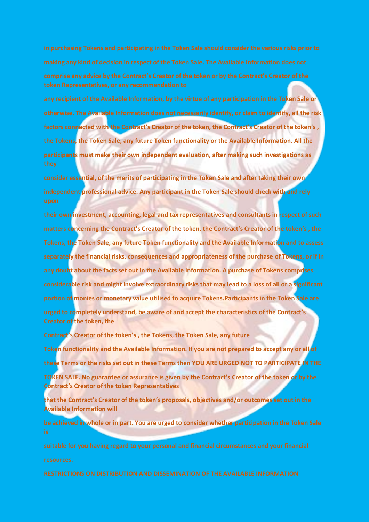**any recipient of the Available Information, by the virtue of any participation in the Token Sale or otherwise. The Available Information does not necessarily identify, or claim to identify, all the risk factors connected with the Contract's Creator of the token, the Contract's Creator of the token's , the Tokens, the Token Sale, any future Token functionality or the Available Information. All the participants must make their own independent evaluation, after making such investigations as** 

**consider essential, of the merits of participating in the Token Sale and after taking their own independent professional advice. Any participant in the Token Sale should check with and rely** 

**their own investment, accounting, legal and tax representatives and consultants in respect of such matters concerning the Contract's Creator of the token, the Contract's Creator of the token's , the Tokens, the Token Sale, any future Token functionality and the Available Information and to assess separately the financial risks, consequences and appropriateness of the purchase of Tokens, or if in any doubt about the facts set out in the Available Information. A purchase of Tokens comprises considerable risk and might involve extraordinary risks that may lead to a loss of all or a significant portion of monies or monetary value utilised to acquire Tokens.Participants in the Token Sale are urged to completely understand, be aware of and accept the characteristics of the Contract's Creator of the token, the**

**Contract's Creator of the token's , the Tokens, the Token Sale, any future**

**Token functionality and the Available Information. If you are not prepared to accept any or all of these Terms or the risks set out in these Terms then YOU ARE URGED NOT TO PARTICIPATE IN THE**

**TOKEN SALE. No guarantee or assurance is given by the Contract's Creator of the token or by the Contract's Creator of the token Representatives**

**that the Contract's Creator of the token's proposals, objectives and/or outcomes set out in the Available Information will**

**be achieved in whole or in part. You are urged to consider whether participation in the Token Sale**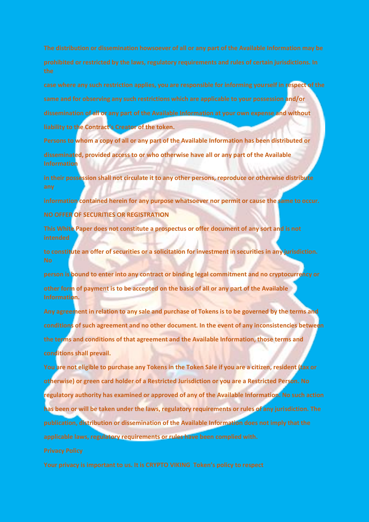**case where any such restriction applies, you are responsible for informing yourself in respect of the same and for observing any such restrictions which are applicable to your possession and/or dissemination of all or any part of the Available Information at your own expense and without liability to the Contract's Creator of the token.**

**Persons to whom a copy of all or any part of the Available Information has been distributed or disseminated, provided access to or who otherwise have all or any part of the Available Information**

**in their possession shall not circulate it to any other persons, reproduce or otherwise distribute** 

**information contained herein for any purpose whatsoever nor permit or cause the same to occur. NO OFFER OF SECURITIES OR REGISTRATION**

**This White Paper does not constitute a prospectus or offer document of any sort and is not** 

**to constitute an offer of securities or a solicitation for investment in securities in any jurisdiction.** 

**person is bound to enter into any contract or binding legal commitment and no cryptocurrency or other form of payment is to be accepted on the basis of all or any part of the Available Information.**

**Any agreement in relation to any sale and purchase of Tokens is to be governed by the terms and conditions of such agreement and no other document. In the event of any inconsistencies between the terms and conditions of that agreement and the Available Information, those terms and conditions shall prevail.**

**You are not eligible to purchase any Tokens in the Token Sale if you are a citizen, resident (tax or otherwise) or green card holder of a Restricted Jurisdiction or you are a Restricted Person. No regulatory authority has examined or approved of any of the Available Information. No such action has been or will be taken under the laws, regulatory requirements or rules of any jurisdiction. The publication, distribution or dissemination of the Available Information does not imply that the applicable laws, regulatory requirements or rules have been complied with.**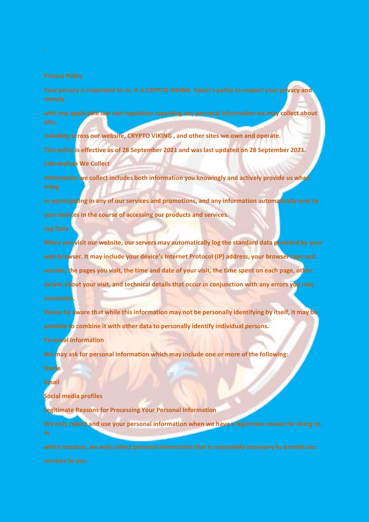**Your privacy is important to us. It is CRYPTO VIKING Token's policy to respect your privacy and** 

**with any applicable law and regulation regarding any personal information we may collect about** 

**including across our website, CRYPTO VIKING , and other sites we own and operate.**

**This policy is effective as of 28 September 2021 and was last updated on 28 September 2021. Information We Collect**

**Information we collect includes both information you knowingly and actively provide us when** 

**or participating in any of our services and promotions, and any information automatically sent by your devices in the course of accessing our products and services.**

**When you visit our website, our servers may automatically log the standard data provided by your web browser. It may include your device's Internet Protocol (IP) address, your browser type and version, the pages you visit, the time and date of your visit, the time spent on each page, other details about your visit, and technical details that occur in conjunction with any errors you may encounter.**

**Please be aware that while this information may not be personally identifying by itself, it may be possible to combine it with other data to personally identify individual persons.**

**Personal Information**

**We may ask for personal information which may include one or more of the following:**

**Name**

**Email**

**Social media profiles**

**Legitimate Reasons for Processing Your Personal Information**

**We only collect and use your personal information when we have a legitimate reason for doing so.**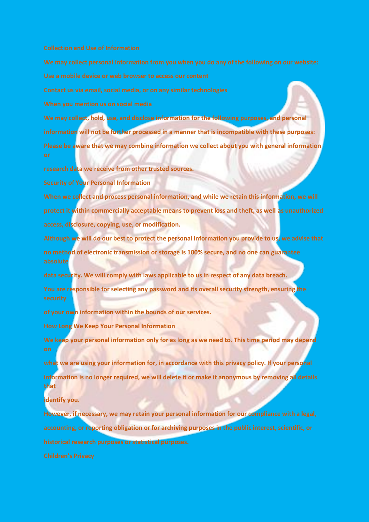**We may collect, hold, use, and disclose information for the following purposes, and personal information will not be further processed in a manner that is incompatible with these purposes: Please be aware that we may combine information we collect about you with general information** 

**research data we receive from other trusted sources.**

**Security of Your Personal Information**

**When we collect and process personal information, and while we retain this information, we will protect it within commercially acceptable means to prevent loss and theft, as well as unauthorized access, disclosure, copying, use, or modification.**

**Although we will do our best to protect the personal information you provide to us, we advise that no method of electronic transmission or storage is 100% secure, and no one can guarantee absolute**

**data security. We will comply with laws applicable to us in respect of any data breach.**

**You are responsible for selecting any password and its overall security strength, ensuring the** 

**of your own information within the bounds of our services.**

**How Long We Keep Your Personal Information**

**We keep your personal information only for as long as we need to. This time period may depend** 

**what we are using your information for, in accordance with this privacy policy. If your personal information is no longer required, we will delete it or make it anonymous by removing all details that**

**identify you.**

**However, if necessary, we may retain your personal information for our compliance with a legal, accounting, or reporting obligation or for archiving purposes in the public interest, scientific, or historical research purposes or statistical purposes.**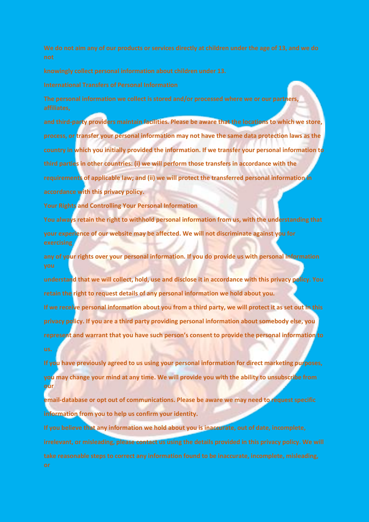**The personal information we collect is stored and/or processed where we or our partners,** 

**and third-party providers maintain facilities. Please be aware that the locations to which we store, process, or transfer your personal information may not have the same data protection laws as the country in which you initially provided the information. If we transfer your personal information to third parties in other countries: (i) we will perform those transfers in accordance with the requirements of applicable law; and (ii) we will protect the transferred personal information in accordance with this privacy policy.**

**Your Rights and Controlling Your Personal Information**

**You always retain the right to withhold personal information from us, with the understanding that your experience of our website may be affected. We will not discriminate against you for** 

**any of your rights over your personal information. If you do provide us with personal information** 

**understand that we will collect, hold, use and disclose it in accordance with this privacy policy. You retain the right to request details of any personal information we hold about you.**

**If we receive personal information about you from a third party, we will protect it as set out in this privacy policy. If you are a third party providing personal information about somebody else, you represent and warrant that you have such person's consent to provide the personal information to**

**If you have previously agreed to us using your personal information for direct marketing purposes, you may change your mind at any time. We will provide you with the ability to unsubscribe from our** 

**email-database or opt out of communications. Please be aware we may need to request specific information from you to help us confirm your identity.**

**If you believe that any information we hold about you is inaccurate, out of date, incomplete, irrelevant, or misleading, please contact us using the details provided in this privacy policy. We will**